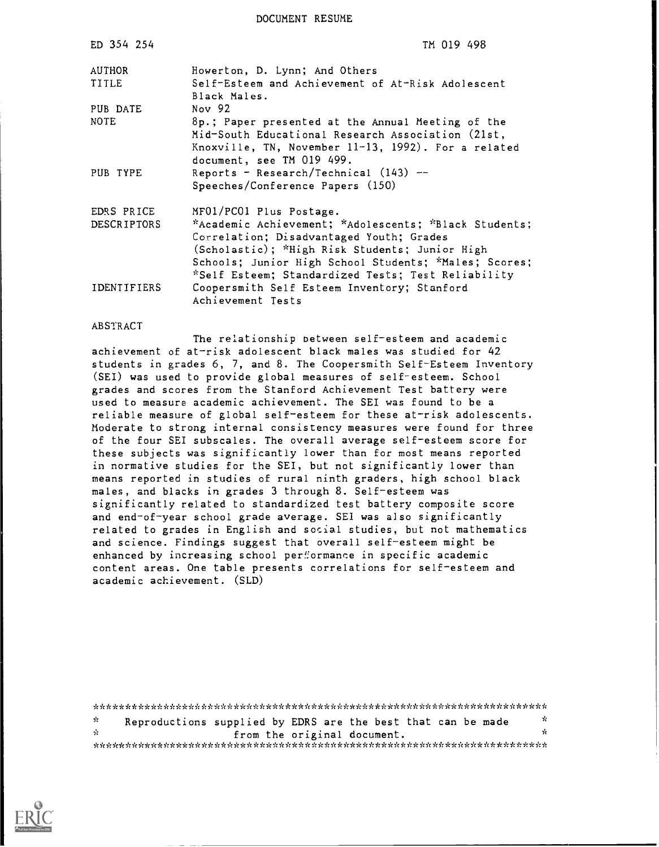DOCUMENT RESUME

| ED 354 254         | TM 019 498                                                                                                                                                                                                                                                         |
|--------------------|--------------------------------------------------------------------------------------------------------------------------------------------------------------------------------------------------------------------------------------------------------------------|
| AUTHOR             | Howerton, D. Lynn; And Others                                                                                                                                                                                                                                      |
| TITLE              | Self-Esteem and Achievement of At-Risk Adolescent<br>Black Males.                                                                                                                                                                                                  |
| PUB DATE           | Nov $92$                                                                                                                                                                                                                                                           |
| <b>NOTE</b>        | 8p.; Paper presented at the Annual Meeting of the<br>Mid-South Educational Research Association (21st,<br>Knoxville, TN, November 11-13, 1992). For a related<br>document, see TM 019 499.                                                                         |
| PUB TYPE           | Reports - Research/Technical $(143)$ --<br>Speeches/Conference Papers (150)                                                                                                                                                                                        |
| EDRS PRICE         | MF01/PC01 Plus Postage.                                                                                                                                                                                                                                            |
| <b>DESCRIPTORS</b> | *Academic Achievement; *Adolescents; *Black Students;<br>Correlation; Disadvantaged Youth; Grades<br>(Scholastic); *High Risk Students; Junior High<br>Schools; Junior High School Students; *Males; Scores;<br>*Self Esteem; Standardized Tests; Test Reliability |
| IDENTIFIERS        | Coopersmith Self Esteem Inventory; Stanford<br>Achievement Tests                                                                                                                                                                                                   |

#### ABSTRACT

The relationship between self-esteem and academic achievement of at-risk adolescent black males was studied for 42 students in grades 6, 7, and 8. The Coopersmith Self-Esteem Inventory (SEI) was used to provide global measures of self-esteem. School grades and scores from the Stanford Achievement Test battery were used to measure academic achievement. The SEI was found to be a reliable measure of global self-esteem for these at-risk adolescents. Moderate to strong internal consistency measures were found for three of the four SEI subscales. The overall average self-esteem score for these subjects was significantly lower than for most means reported in normative studies for the SEI, but not significantly lower than means reported in studies of rural ninth graders, high school black males, and blacks in grades 3 through 8. Self-esteem was significantly related to standardized test battery composite score and end-of-year school grade average. SEI was also significantly related to grades in English and social studies, but not mathematics and science. Findings suggest that overall self-esteem might be enhanced by increasing school performance in specific academic content areas. One table presents correlations for self-esteem and academic achievement. (SLD)

\*\*\*\*\*\*\*\*\*\*\*\*\*\*\*\*\*\*\*\*\*\*\*\*\*\*\*\*\*\*\*\*\*\*\*\*\*\*\*\*\*\*\*\*\*\*\*\*\*\*\*\*\*\*\*\*\*\*\*\*\*\*\*\*\*\*\*\*\*\*\* \* Reproductions supplied by EDRS are the best that can be made  $\frac{1}{N}$ from the original document. \*\*\*\*\*\*\*\*\*\*\*\*\*\*\*\*\*\*\*\*\*\*\*\*\*\*\*\*\*\*\*\*\*\*\*\*\*\*\*\*\*\*\*\*\*\*\*\*\*\*\*\*\*\*\*\*\*\*\*\*\*\*\*\*\*\*\*\*\*\*\*

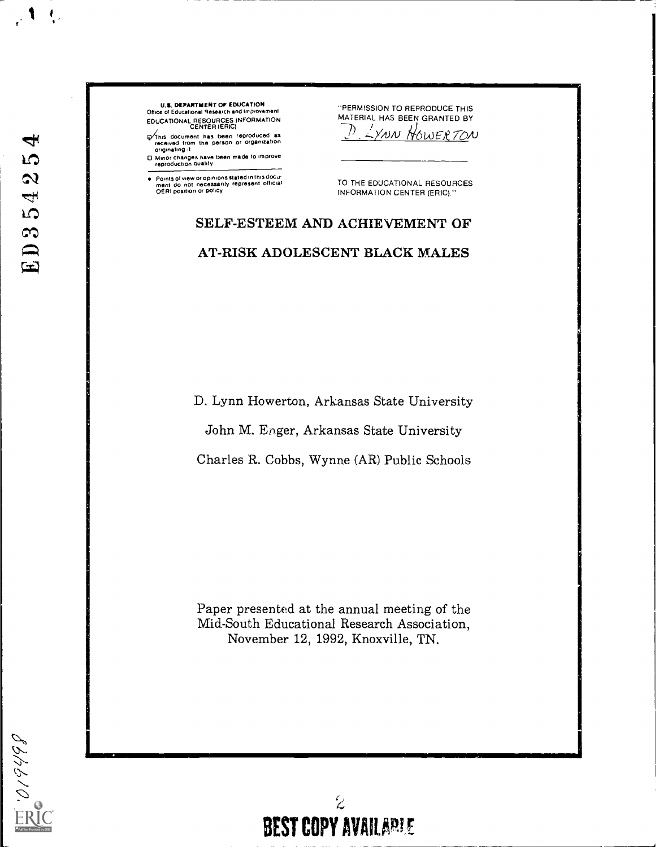# $\overline{\mathbf{f}}$ **LO**  $\boldsymbol{\mathcal{Q}}$ ED354

 $\frac{1}{266}$ 

 $\mathcal{A}$ 

U.S. DEPARTMENT OF EDUCATION<br>Office of Educational Research and Improvement Oftke of Educational Research and improvement EDUCATIONAL RESOURCES INFORMATION CENTER (ERIC)

**Q/This document has been reproduced as<br>received from the person or organization**<br>originating it

0 Minor changes have been made to improve reproduction Quality

Points of view or opinions stated in this docui<br>ment ido\_not\_necessarily\_represent\_official<br>OERI position or policy

-PERMISSION TO REPRODUCE THIS MATERIAL HAS BEEN GRANTED BY  $2x$ NN HOWERTON

TO THE EDUCATIONAL RESOURCES INFORMATION CENTER (ERIC)."

# SELF-ESTEEM AND ACHIEVEMENT OF AT-RISK ADOLESCENT BLACK MALES

D. Lynn Howerton, Arkansas State University

John M. Eager, Arkansas State University

Charles R. Cobbs, Wynne (AR) Public Schools

Paper presented at the annual meeting of the Mid-South Educational Research Association, November 12, 1992, Knoxville, TN.

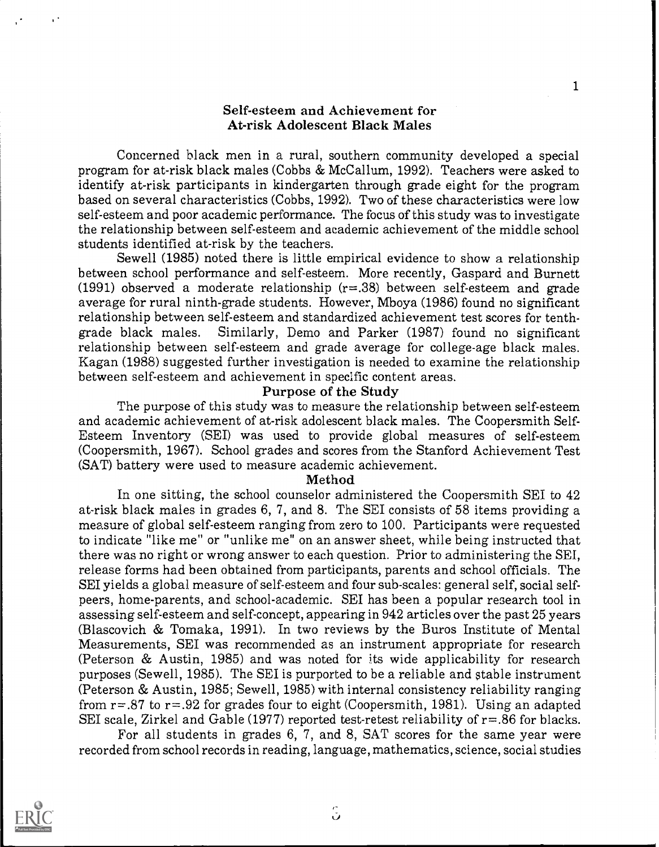#### Self-esteem and Achievement for At-risk Adolescent Black Males

1

Concerned black men in a rural, southern community developed a special program for at-risk black males (Cobbs & McCallum, 1992). Teachers were asked to identify at-risk participants in kindergarten through grade eight for the program based on several characteristics (Cobbs, 1992). Two of these characteristics were low self-esteem and poor academic performance. The focus of this study was to investigate the relationship between self-esteem and academic achievement of the middle school students identified at-risk by the teachers.

Sewell (1985) noted there is little empirical evidence to show a relationship between school performance and self-esteem. More recently, Gaspard and Burnett (1991) observed a moderate relationship  $(r=.38)$  between self-esteem and grade average for rural ninth-grade students. However, Mboya (1986) found no significant relationship between self-esteem and standardized achievement test scores for tenthgrade black males. Similarly, Demo and Parker (1987) found no significant relationship between self-esteem and grade average for college-age black males. Kagan (1988) suggested further investigation is needed to examine the relationship between self-esteem and achievement in specific content areas.

#### Purpose of the Study

The purpose of this study was to measure the relationship between self-esteem and academic achievement of at-risk adolescent black males. The Coopersmith Self-Esteem Inventory (SEI) was used to provide global measures of self-esteem (Coopersmith, 1967). School grades and scores from the Stanford Achievement Test (SAT) battery were used to measure academic achievement.

#### Method

In one sitting, the school counselor administered the Coopersmith SEI to 42 at-risk black males in grades 6, 7, and 8. The SEI consists of 58 items providing a measure of global self-esteem ranging from zero to 100. Participants were requested to indicate "like me" or "unlike me" on an answer sheet, while being instructed that there was no right or wrong answer to each question. Prior to administering the SEI, release forms had been obtained from participants, parents and school officials. The SEI yields a global measure of self-esteem and four sub-scales: general self, social selfpeers, home-parents, and school-academic. SEI has been a popular research tool in assessing self-esteem and self-concept, appearing in 942 articles over the past 25 years (Blascovich & Tomaka, 1991). In two reviews by the Buros Institute of Mental Measurements, SEI was recommended as an instrument appropriate for research (Peterson & Austin, 1985) and was noted for its wide applicability for research purposes (Sewell, 1985). The SEI is purported to be a reliable and stable instrument (Peterson & Austin, 1985; Sewell, 1985) with internal consistency reliability ranging from  $r = .87$  to  $r = .92$  for grades four to eight (Coopersmith, 1981). Using an adapted SEI scale, Zirkel and Gable (1977) reported test-retest reliability of  $r = .86$  for blacks.

For all students in grades 6, 7, and 8, SAT scores for the same year were recorded from school records in reading, language, mathematics, science, social studies

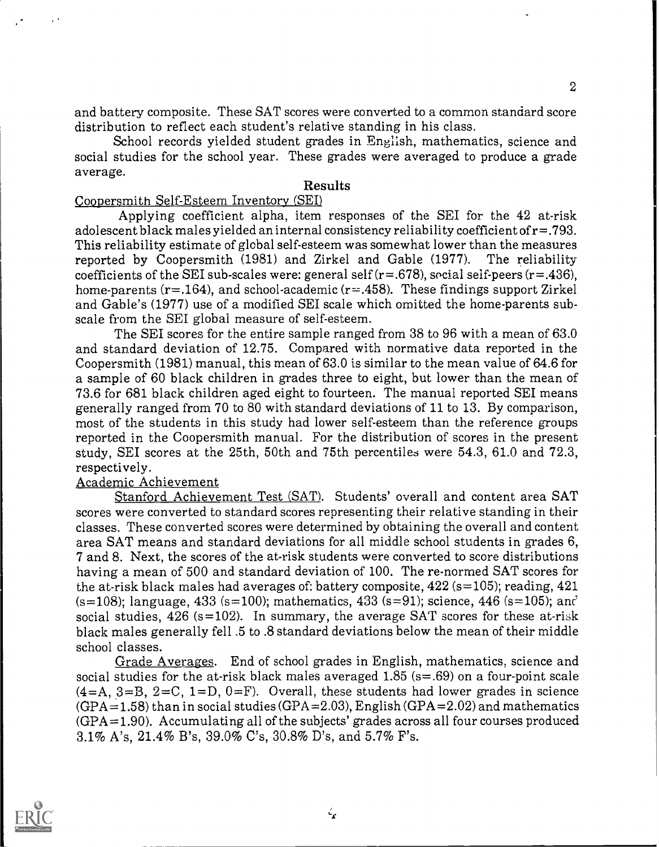and battery composite. These SAT scores were converted to a common standard score distribution to reflect each student's relative standing in his class.

School records yielded student grades in English, mathematics, science and social studies for the school year. These grades were averaged to produce a grade average.

#### Results

#### Coopersmith Self-Esteem Inventory (SEI)

Applying coefficient alpha, item responses of the SEI for the 42 at-risk adolescent black males yielded an internal consistency reliability coefficient of  $r = .793$ . This reliability estimate of global self-esteem was somewhat lower than the measures reported by Coopersmith (1981) and Zirkel and Gable (1977). The reliability coefficients of the SEI sub-scales were: general self ( $r = .678$ ), social self-peers ( $r = .436$ ), home-parents ( $r = .164$ ), and school-academic ( $r = .458$ ). These findings support Zirkel and Gable's (1977) use of a modified SEI scale which omitted the home-parents subscale from the SEI global measure of self-esteem.

The SEI scores for the entire sample ranged from 38 to 96 with a mean of 63.0 and standard deviation of 12.75. Compared with normative data reported in the Coopersmith (1981) manual, this mean of 63.0 is similar to the mean value of 64.6 for a sample of 60 black children in grades three to eight, but lower than the mean of 73.6 for 681 black children aged eight to fourteen. The manual reported SEI means generally ranged from 70 to 80 with standard deviations of 11 to 13. By comparison, most of the students in this study had lower self-esteem than the reference groups reported in the Coopersmith manual. For the distribution of scores in the present study, SEI scores at the 25th, 50th and 75th percentiles were 54.3, 61.0 and 72.3, respectively.

#### Academic Achievement

Stanford Achievement Test (SAT). Students' overall and content area SAT scores were converted to standard scores representing their relative standing in their classes. These converted scores were determined by obtaining the overall and content area SAT means and standard deviations for all middle school students in grades 6, 7 and 8. Next, the scores of the at-risk students were converted to score distributions having a mean of 500 and standard deviation of 100. The re-normed SAT scores for the at-risk black males had averages of: battery composite,  $422$  (s=105); reading,  $421$ (s=108); language,  $433$  (s=100); mathematics,  $433$  (s=91); science,  $446$  (s=105); and social studies,  $426$  (s=102). In summary, the average SAT scores for these at-risk black males generally fell .5 to .8 standard deviations below the mean of their middle school classes.

Grade Averages. End of school grades in English, mathematics, science and social studies for the at-risk black males averaged  $1.85$  (s=.69) on a four-point scale  $(4=A, 3=B, 2=C, 1=D, 0=F)$ . Overall, these students had lower grades in science  $(GPA = 1.58)$  than in social studies  $(GPA = 2.03)$ , English  $(GPA = 2.02)$  and mathematics  $(GPA=1.90)$ . Accumulating all of the subjects' grades across all four courses produced 3.1% A's, 21.4% B's, 39.0% C's, 30.8% D's, and 5.7% F's.



2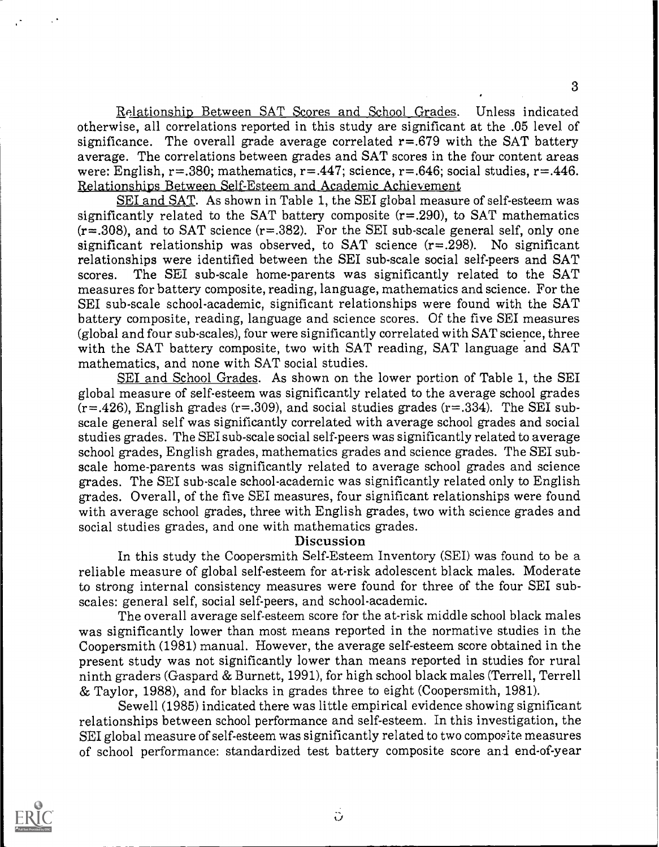Relationship Between SAT Scores and School Grades. Unless indicated otherwise, all correlations reported in this study are significant at the .05 level of significance. The overall grade average correlated  $r = .679$  with the SAT battery average. The correlations between grades and SAT scores in the four content areas were: English,  $r=.380$ ; mathematics,  $r=.447$ ; science,  $r=.646$ ; social studies,  $r=.446$ . Relationships Between Self-Esteem and Academic Achievement

SEI and SAT. As shown in Table 1, the SEI global measure of self-esteem was significantly related to the SAT battery composite  $(r=.290)$ , to SAT mathematics  $(r=.308)$ , and to SAT science  $(r=.382)$ . For the SEI sub-scale general self, only one significant relationship was observed, to SAT science  $(r=.298)$ . No significant relationships were identified between the SEI sub-scale social self-peers and SAT scores. The SEI sub-scale home-parents was significantly related to the SAT measures for battery composite, reading, language, mathematics and science. For the SET sub-scale school-academic, significant relationships were found with the SAT battery composite, reading, language and science scores. Of the five SEI measures (global and four sub-scales), four were significantly correlated with SAT science, three with the SAT battery composite, two with SAT reading, SAT language and SAT mathematics, and none with SAT social studies.

SEI and School Grades. As shown on the lower portion of Table 1, the SEI global measure of self-esteem was significantly related to the average school grades  $(r=.426)$ , English grades  $(r=.309)$ , and social studies grades  $(r=.334)$ . The SEI subscale general self was significantly correlated with average school grades and social studies grades. The SEI sub-scale social self-peers was significantly related to average school grades, English grades, mathematics grades and science grades. The SEI subscale home-parents was significantly related to average school grades and science grades. The SEI sub-scale school-academic was significantly related only to English grades. Overall, of the five SEI measures, four significant relationships were found with average school grades, three with English grades, two with science grades and social studies grades, and one with mathematics grades.

#### Discussion

In this study the Coopersmith Self-Esteem Inventory (SEI) was found to be a reliable measure of global self-esteem for at-risk adolescent black males. Moderate to strong internal consistency measures were found for three of the four SEI subscales: general self, social self-peers, and school-academic.

The overall average self-esteem score for the at-risk middle school black males was significantly lower than most means reported in the normative studies in the Coopersmith (1981) manual. However, the average self-esteem score obtained in the present study was not significantly lower than means reported in studies for rural ninth graders (Gaspard & Burnett, 1991), for high school black males (Terrell, Terrell & Taylor, 1988), and for blacks in grades three to eight (Coopersmith, 1981).

Sewell (1985) indicated there was little empirical evidence showing significant relationships between school performance and self-esteem. In this investigation, the SEI global measure of self-esteem was significantly related to two composite measures of school performance: standardized test battery composite score and end-of-year



 $\ddot{\rm o}$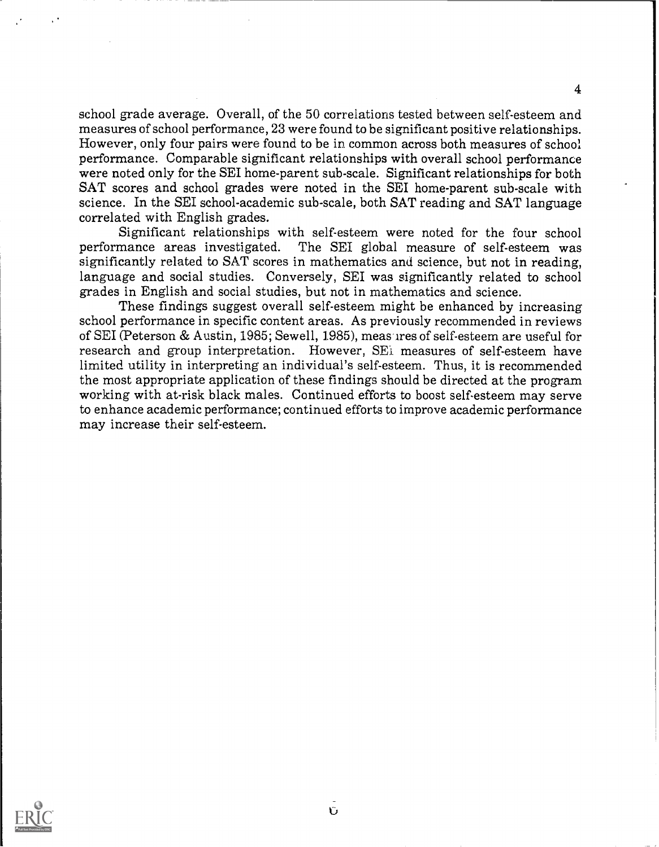school grade average. Overall, of the 50 correlations tested between self-esteem and measures of school performance, 23 were found to be significant positive relationships. However, only four pairs were found to be in common across both measures of school performance. Comparable significant relationships with overall school performance were noted only for the SEI home-parent sub-scale. Significant relationships for both SAT scores and school grades were noted in the SEI home-parent sub-scale with science. In the SEI school-academic sub-scale, both SAT reading and SAT language correlated with English grades.

4

Significant relationships with self-esteem were noted for the four school performance areas investigated. The SEI global measure of self-esteem was The SEI global measure of self-esteem was significantly related to SAT scores in mathematics and science, but not in reading, language and social studies. Conversely, SEI was significantly related to school grades in English and social studies, but not in mathematics and science.

These findings suggest overall self-esteem might be enhanced by increasing school performance in specific content areas. As previously recommended in reviews of SEI (Peterson & Austin, 1985; Sewell, 1985), meas ires of self-esteem are useful for research and group interpretation. However, SE<sub>i</sub> measures of self-esteem have limited utility in interpreting an individual's self-esteem. Thus, it is recommended the most appropriate application of these findings should be directed at the program working with at-risk black males. Continued efforts to boost self-esteem may serve to enhance academic performance; continued efforts to improve academic performance may increase their self-esteem.

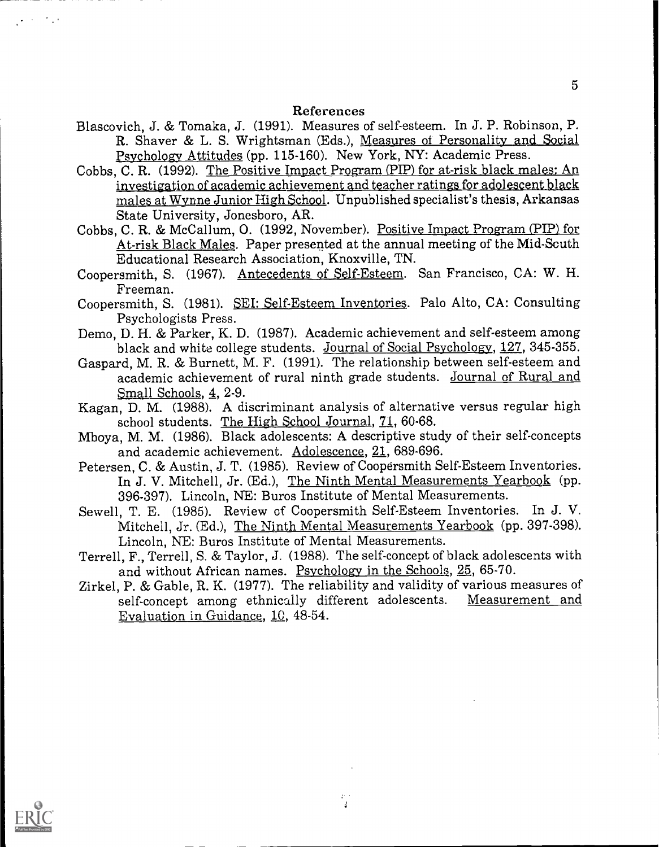#### References

- Blascovich, J. & Tomaka, J. (1991). Measures of self-esteem. In J. P. Robinson, P. R. Shaver & L. S. Wrightsman (Eds.), Measures of Personality and Social Psychology Attitudes (pp. 115-160). New York, NY: Academic Press.
- Cobbs, C. R. (1992). The Positive Impact Program (PIP) for at-risk black males: An investigation of academic achievement and teacher ratings for adolescent black males at Wynne Junior High School. Unpublished specialist's thesis, Arkansas State University, Jonesboro, AR.

Cobbs, C. R. & McCallum, O. (1992, November). Positive Impact Program (PIP) for At-risk Black Males. Paper presented at the annual meeting of the Mid-South Educational Research Association, Knoxville, TN.

Coopersmith, S. (1967). Antecedents of Self-Esteem. San Francisco, CA: W. H. Freeman.

Coopersmith, S. (1981). SEI: Self-Esteem Inventories. Palo Alto, CA: Consulting Psychologists Press.

- Demo, D. H. & Parker, K. D. (1987). Academic achievement and self-esteem among black and white college students. Journal of Social Psychology, 127, 345-355.
- Gaspard, M. R. & Burnett, M. F. (1991). The relationship between self-esteem and academic achievement of rural ninth grade students. Journal of Rural and Small Schools, 4, 2-9.
- Kagan, D. M. (1988). A discriminant analysis of alternative versus regular high school students. The High School Journal, 71, 60-68.
- Mboya, M. M. (1986). Black adolescents: A descriptive study of their self-concepts and academic achievement. Adolescence, 21, 689-696.
- Petersen, C. & Austin, J. T. (1985). Review of Coopersmith Self-Esteem Inventories. In J. V. Mitchell, Jr. (Ed.), The Ninth Mental Measurements Yearbook (pp. 396-397). Lincoln, NE: Buros Institute of Mental Measurements.
- Sewell, T. E. (1985). Review of Coopersmith Self-Esteem Inventories. In J. V. Mitchell, Jr. (Ed.), The Ninth Mental Measurements Yearbook (pp. 397-398). Lincoln, NE: Buros Institute of Mental Measurements.
- Terrell, F., Terrell, S. & Taylor, J. (1988). The self-concept of black adolescents with and without African names. Psychology in the Schools, 25, 65-70.
- Zirkel, P. & Gable, R. K. (1977). The reliability and validity of various measures of self-concept among ethnically different adolescents. Evaluation in Guidance, 10, 48-54.

 $\frac{d^2}{dt^2}$ 



 $\mathcal{A} \rightarrow \mathcal{A}$  , and

5